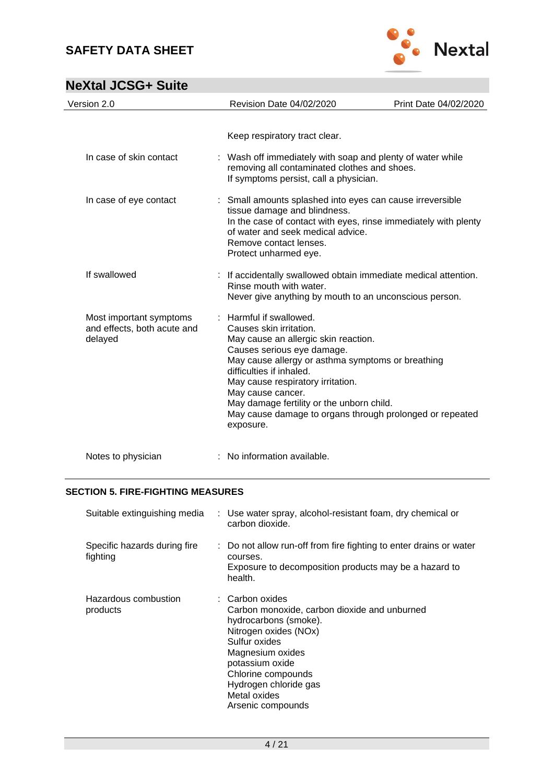

# **NeXtal JCSG+ Suite**

| Version 2.0                                                       | Revision Date 04/02/2020                                                                                                                                                                                                                                                                                                                                                                  | Print Date 04/02/2020 |
|-------------------------------------------------------------------|-------------------------------------------------------------------------------------------------------------------------------------------------------------------------------------------------------------------------------------------------------------------------------------------------------------------------------------------------------------------------------------------|-----------------------|
|                                                                   | Keep respiratory tract clear.                                                                                                                                                                                                                                                                                                                                                             |                       |
| In case of skin contact                                           | : Wash off immediately with soap and plenty of water while<br>removing all contaminated clothes and shoes.<br>If symptoms persist, call a physician.                                                                                                                                                                                                                                      |                       |
| In case of eye contact                                            | : Small amounts splashed into eyes can cause irreversible<br>tissue damage and blindness.<br>In the case of contact with eyes, rinse immediately with plenty<br>of water and seek medical advice.<br>Remove contact lenses.<br>Protect unharmed eye.                                                                                                                                      |                       |
| If swallowed                                                      | : If accidentally swallowed obtain immediate medical attention.<br>Rinse mouth with water.<br>Never give anything by mouth to an unconscious person.                                                                                                                                                                                                                                      |                       |
| Most important symptoms<br>and effects, both acute and<br>delayed | : Harmful if swallowed.<br>Causes skin irritation.<br>May cause an allergic skin reaction.<br>Causes serious eye damage.<br>May cause allergy or asthma symptoms or breathing<br>difficulties if inhaled.<br>May cause respiratory irritation.<br>May cause cancer.<br>May damage fertility or the unborn child.<br>May cause damage to organs through prolonged or repeated<br>exposure. |                       |
| Notes to physician                                                | : No information available.                                                                                                                                                                                                                                                                                                                                                               |                       |

#### **SECTION 5. FIRE-FIGHTING MEASURES**

| Suitable extinguishing media             | : Use water spray, alcohol-resistant foam, dry chemical or<br>carbon dioxide.                                                                                                                                                                                            |
|------------------------------------------|--------------------------------------------------------------------------------------------------------------------------------------------------------------------------------------------------------------------------------------------------------------------------|
| Specific hazards during fire<br>fighting | : Do not allow run-off from fire fighting to enter drains or water<br>courses.<br>Exposure to decomposition products may be a hazard to<br>health.                                                                                                                       |
| Hazardous combustion<br>products         | $\therefore$ Carbon oxides<br>Carbon monoxide, carbon dioxide and unburned<br>hydrocarbons (smoke).<br>Nitrogen oxides (NOx)<br>Sulfur oxides<br>Magnesium oxides<br>potassium oxide<br>Chlorine compounds<br>Hydrogen chloride gas<br>Metal oxides<br>Arsenic compounds |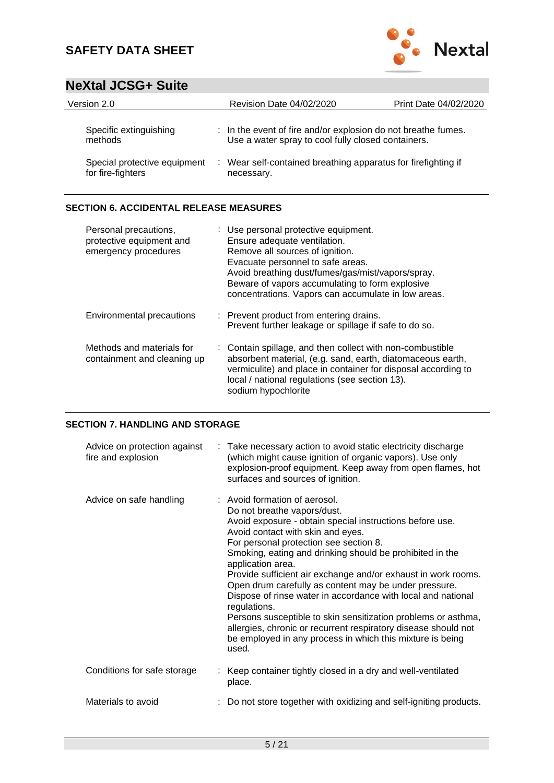

## **NeXtal JCSG+ Suite**

| Version 2.0                                       | Revision Date 04/02/2020                                                                                            | Print Date 04/02/2020 |
|---------------------------------------------------|---------------------------------------------------------------------------------------------------------------------|-----------------------|
| Specific extinguishing<br>methods                 | : In the event of fire and/or explosion do not breathe fumes.<br>Use a water spray to cool fully closed containers. |                       |
| Special protective equipment<br>for fire-fighters | : Wear self-contained breathing apparatus for firefighting if<br>necessary.                                         |                       |

#### **SECTION 6. ACCIDENTAL RELEASE MEASURES**

| Personal precautions,<br>protective equipment and<br>emergency procedures | : Use personal protective equipment.<br>Ensure adequate ventilation.<br>Remove all sources of ignition.<br>Evacuate personnel to safe areas.<br>Avoid breathing dust/fumes/gas/mist/vapors/spray.<br>Beware of vapors accumulating to form explosive<br>concentrations. Vapors can accumulate in low areas. |
|---------------------------------------------------------------------------|-------------------------------------------------------------------------------------------------------------------------------------------------------------------------------------------------------------------------------------------------------------------------------------------------------------|
| Environmental precautions                                                 | : Prevent product from entering drains.<br>Prevent further leakage or spillage if safe to do so.                                                                                                                                                                                                            |
| Methods and materials for<br>containment and cleaning up                  | : Contain spillage, and then collect with non-combustible<br>absorbent material, (e.g. sand, earth, diatomaceous earth,<br>vermiculite) and place in container for disposal according to<br>local / national regulations (see section 13).<br>sodium hypochlorite                                           |

#### **SECTION 7. HANDLING AND STORAGE**

| Advice on protection against<br>fire and explosion | : Take necessary action to avoid static electricity discharge<br>(which might cause ignition of organic vapors). Use only<br>explosion-proof equipment. Keep away from open flames, hot<br>surfaces and sources of ignition.                                                                                                                                                                                                                                                                                                                                                                                                                                                                                |
|----------------------------------------------------|-------------------------------------------------------------------------------------------------------------------------------------------------------------------------------------------------------------------------------------------------------------------------------------------------------------------------------------------------------------------------------------------------------------------------------------------------------------------------------------------------------------------------------------------------------------------------------------------------------------------------------------------------------------------------------------------------------------|
| Advice on safe handling                            | : Avoid formation of aerosol.<br>Do not breathe vapors/dust.<br>Avoid exposure - obtain special instructions before use.<br>Avoid contact with skin and eyes.<br>For personal protection see section 8.<br>Smoking, eating and drinking should be prohibited in the<br>application area.<br>Provide sufficient air exchange and/or exhaust in work rooms.<br>Open drum carefully as content may be under pressure.<br>Dispose of rinse water in accordance with local and national<br>regulations.<br>Persons susceptible to skin sensitization problems or asthma,<br>allergies, chronic or recurrent respiratory disease should not<br>be employed in any process in which this mixture is being<br>used. |
| Conditions for safe storage                        | : Keep container tightly closed in a dry and well-ventilated<br>place.                                                                                                                                                                                                                                                                                                                                                                                                                                                                                                                                                                                                                                      |
| Materials to avoid                                 | : Do not store together with oxidizing and self-igniting products.                                                                                                                                                                                                                                                                                                                                                                                                                                                                                                                                                                                                                                          |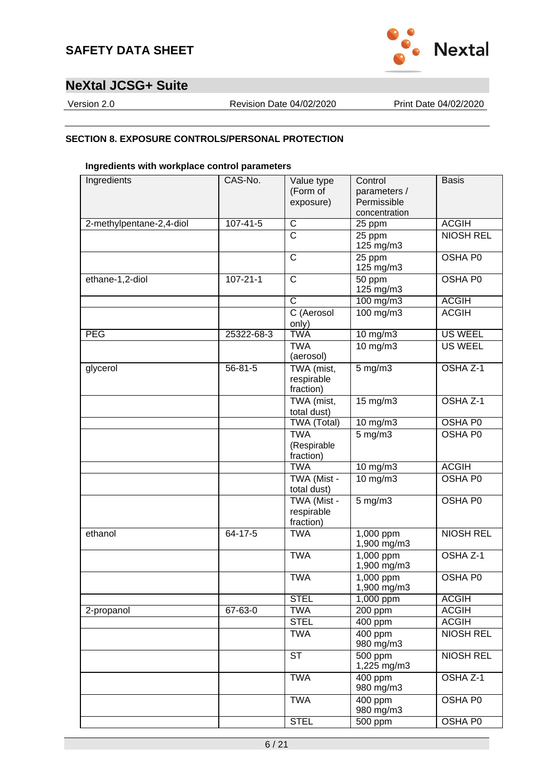



Version 2.0 Revision Date 04/02/2020 Print Date 04/02/2020

#### **SECTION 8. EXPOSURE CONTROLS/PERSONAL PROTECTION**

#### **Ingredients with workplace control parameters**

| Ingredients              | CAS-No.        | Value type<br>(Form of<br>exposure)    | Control<br>parameters /<br>Permissible<br>concentration | <b>Basis</b>     |
|--------------------------|----------------|----------------------------------------|---------------------------------------------------------|------------------|
| 2-methylpentane-2,4-diol | $107 - 41 - 5$ | $\overline{C}$                         | 25 ppm                                                  | <b>ACGIH</b>     |
|                          |                | $\overline{C}$                         | 25 ppm<br>125 mg/m3                                     | <b>NIOSH REL</b> |
|                          |                | $\overline{C}$                         | 25 ppm<br>125 mg/m3                                     | OSHA P0          |
| ethane-1,2-diol          | $107 - 21 - 1$ | $\overline{\text{c}}$                  | 50 ppm<br>125 mg/m3                                     | OSHA P0          |
|                          |                | $\overline{\mathsf{C}}$                | 100 mg/m3                                               | <b>ACGIH</b>     |
|                          |                | C (Aerosol<br>only)                    | 100 mg/m3                                               | <b>ACGIH</b>     |
| <b>PEG</b>               | 25322-68-3     | <b>TWA</b>                             | $10$ mg/m $3$                                           | <b>US WEEL</b>   |
|                          |                | <b>TWA</b><br>(aerosol)                | 10 mg/m3                                                | <b>US WEEL</b>   |
| glycerol                 | $56 - 81 - 5$  | TWA (mist,<br>respirable<br>fraction)  | $5$ mg/m $3$                                            | OSHA Z-1         |
|                          |                | TWA (mist,<br>total dust)              | 15 mg/m3                                                | OSHA Z-1         |
|                          |                | <b>TWA (Total)</b>                     | $10$ mg/m $3$                                           | <b>OSHA P0</b>   |
|                          |                | <b>TWA</b><br>(Respirable<br>fraction) | $5$ mg/m $3$                                            | OSHA P0          |
|                          |                | <b>TWA</b>                             | $10$ mg/m $3$                                           | <b>ACGIH</b>     |
|                          |                | TWA (Mist -<br>total dust)             | 10 mg/m3                                                | OSHA P0          |
|                          |                | TWA (Mist -<br>respirable<br>fraction) | $5$ mg/m $3$                                            | OSHA P0          |
| ethanol                  | 64-17-5        | <b>TWA</b>                             | 1,000 ppm<br>1,900 mg/m3                                | <b>NIOSH REL</b> |
|                          |                | <b>TWA</b>                             | 1,000 ppm<br>1,900 mg/m3                                | OSHA Z-1         |
|                          |                | <b>TWA</b>                             | 1,000 ppm<br>1,900 mg/m3                                | OSHA P0          |
|                          |                | <b>STEL</b>                            | 1,000 ppm                                               | <b>ACGIH</b>     |
| 2-propanol               | $67 - 63 - 0$  | <b>TWA</b>                             | $200$ ppm                                               | <b>ACGIH</b>     |
|                          |                | <b>STEL</b>                            | 400 ppm                                                 | <b>ACGIH</b>     |
|                          |                | <b>TWA</b>                             | 400 ppm<br>980 mg/m3                                    | <b>NIOSH REL</b> |
|                          |                | <b>ST</b>                              | 500 ppm<br>1,225 mg/m3                                  | <b>NIOSH REL</b> |
|                          |                | <b>TWA</b>                             | 400 ppm<br>980 mg/m3                                    | OSHA Z-1         |
|                          |                | <b>TWA</b>                             | 400 ppm<br>980 mg/m3                                    | OSHA P0          |
|                          |                | <b>STEL</b>                            | $500$ ppm                                               | <b>OSHA P0</b>   |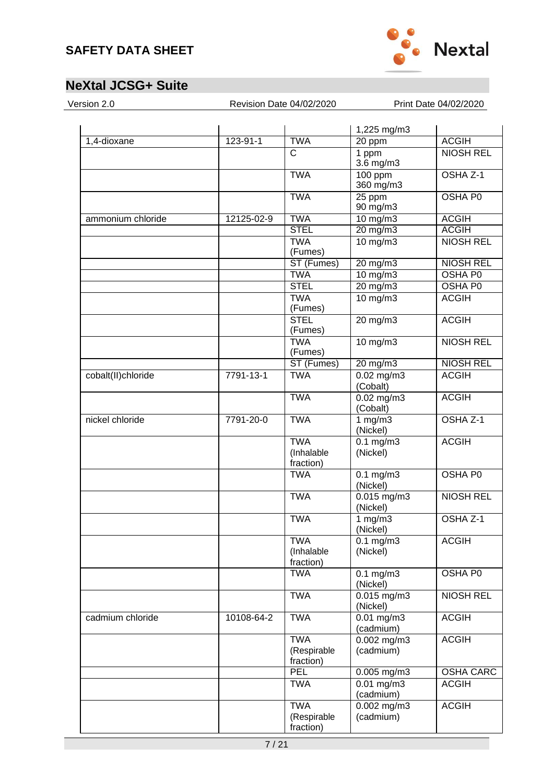

| Version 2.0 |  |
|-------------|--|

Revision Date 04/02/2020 Print Date 04/02/2020

| 1,4-dioxane        | $123 - 91 - 1$ | <b>TWA</b>                             | 1,225 mg/m3<br>20 ppm                 | <b>ACGIH</b>        |
|--------------------|----------------|----------------------------------------|---------------------------------------|---------------------|
|                    |                | $\overline{C}$                         | 1 ppm<br>$3.\overline{6}$ mg/m $3$    | <b>NIOSH REL</b>    |
|                    |                | <b>TWA</b>                             | 100 ppm<br>360 mg/m3                  | OSHA <sub>Z-1</sub> |
|                    |                | <b>TWA</b>                             | 25 ppm<br>90 mg/m3                    | <b>OSHA P0</b>      |
| ammonium chloride  | 12125-02-9     | <b>TWA</b>                             | $10 \text{ mg/m}$                     | <b>ACGIH</b>        |
|                    |                | <b>STEL</b>                            | $20$ mg/m $3$                         | <b>ACGIH</b>        |
|                    |                | <b>TWA</b><br>(Fumes)                  | $10$ mg/m $3$                         | <b>NIOSH REL</b>    |
|                    |                | ST (Fumes)                             | $20 \text{ mg/m}$                     | <b>NIOSH REL</b>    |
|                    |                | <b>TWA</b>                             | $10$ mg/m $3$                         | <b>OSHA P0</b>      |
|                    |                | <b>STEL</b>                            | $20 \text{ mg/m}$                     | <b>OSHA PO</b>      |
|                    |                | <b>TWA</b><br>(Fumes)                  | 10 mg/m3                              | <b>ACGIH</b>        |
|                    |                | <b>STEL</b><br>(Fumes)                 | $20$ mg/m $3$                         | <b>ACGIH</b>        |
|                    |                | <b>TWA</b><br>(Fumes)                  | $10$ mg/m $3$                         | <b>NIOSH REL</b>    |
|                    |                | ST (Fumes)                             | $20$ mg/m $3$                         | <b>NIOSH REL</b>    |
| cobalt(II)chloride | 7791-13-1      | <b>TWA</b>                             | $0.02$ mg/m3<br>(Cobalt)              | <b>ACGIH</b>        |
|                    |                | <b>TWA</b>                             | $0.02$ mg/m3<br>(Cobalt)              | <b>ACGIH</b>        |
| nickel chloride    | 7791-20-0      | <b>TWA</b>                             | 1 $mg/m3$<br>(Nickel)                 | OSHA Z-1            |
|                    |                | <b>TWA</b><br>(Inhalable<br>fraction)  | $0.1$ mg/m $3$<br>(Nickel)            | <b>ACGIH</b>        |
|                    |                | <b>TWA</b>                             | $0.1$ mg/m $3$<br>(Nickel)            | <b>OSHA P0</b>      |
|                    |                | <b>TWA</b>                             | $0.015$ mg/m3<br>(Nickel)             | <b>NIOSH REL</b>    |
|                    |                | <b>TWA</b>                             | $1 \text{ mg/m}$<br>(Nickel)          | OSHA <sub>Z-1</sub> |
|                    |                | <b>TWA</b><br>(Inhalable<br>fraction)  | $0.1$ mg/m $3$<br>(Nickel)            | <b>ACGIH</b>        |
|                    |                | <b>TWA</b>                             | $0.1$ mg/m $3$<br>(Nickel)            | <b>OSHA P0</b>      |
|                    |                | <b>TWA</b>                             | $0.015$ mg/m3<br>(Nickel)             | <b>NIOSH REL</b>    |
| cadmium chloride   | 10108-64-2     | <b>TWA</b>                             | $0.01$ mg/m $3$<br>(cadmium)          | <b>ACGIH</b>        |
|                    |                | <b>TWA</b><br>(Respirable<br>fraction) | $\overline{0.002}$ mg/m3<br>(cadmium) | <b>ACGIH</b>        |
|                    |                | PEL                                    | 0.005 mg/m3                           | <b>OSHA CARC</b>    |
|                    |                | <b>TWA</b>                             | $0.01$ mg/m $3$<br>(cadmium)          | <b>ACGIH</b>        |
|                    |                | <b>TWA</b><br>(Respirable<br>fraction) | $0.002$ mg/m3<br>(cadmium)            | <b>ACGIH</b>        |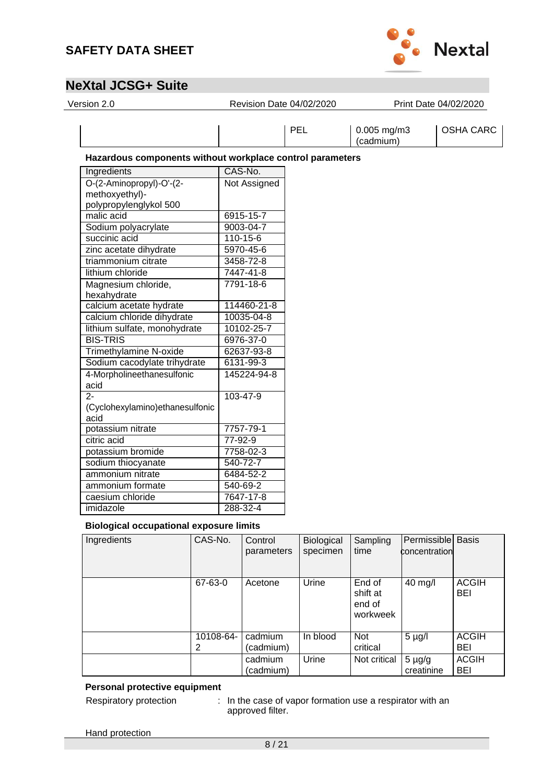

| Version 2.0                                                          | Revision Date 04/02/2020 |            |                               | Print Date 04/02/2020 |
|----------------------------------------------------------------------|--------------------------|------------|-------------------------------|-----------------------|
|                                                                      |                          | <b>PEL</b> | $0.005$ mg/m $3$<br>(cadmium) | OSHA CARC             |
| Hazardous components without workplace control parameters            |                          |            |                               |                       |
| Ingredients                                                          | CAS-No.                  |            |                               |                       |
| O-(2-Aminopropyl)-O'-(2-<br>methoxyethyl)-<br>polypropylenglykol 500 | Not Assigned             |            |                               |                       |
| malic acid                                                           | 6915-15-7                |            |                               |                       |
| Sodium polyacrylate                                                  | 9003-04-7                |            |                               |                       |
| succinic acid                                                        | $110 - 15 - 6$           |            |                               |                       |
| zinc acetate dihydrate                                               | 5970-45-6                |            |                               |                       |
| triammonium citrate                                                  | 3458-72-8                |            |                               |                       |
| lithium chloride                                                     | 7447-41-8                |            |                               |                       |
| Magnesium chloride,<br>hexahydrate                                   | 7791-18-6                |            |                               |                       |
| calcium acetate hydrate                                              | 114460-21-8              |            |                               |                       |
| calcium chloride dihydrate                                           | 10035-04-8               |            |                               |                       |
| lithium sulfate, monohydrate                                         | 10102-25-7               |            |                               |                       |
| <b>BIS-TRIS</b>                                                      | 6976-37-0                |            |                               |                       |
| <b>Trimethylamine N-oxide</b>                                        | 62637-93-8               |            |                               |                       |
| Sodium cacodylate trihydrate                                         | 6131-99-3                |            |                               |                       |
| 4-Morpholineethanesulfonic<br>acid                                   | 145224-94-8              |            |                               |                       |
| $2 -$<br>(Cyclohexylamino) ethanesulfonic<br>acid                    | 103-47-9                 |            |                               |                       |
| potassium nitrate                                                    | 7757-79-1                |            |                               |                       |
| citric acid                                                          | $77 - 92 - 9$            |            |                               |                       |
| potassium bromide                                                    | 7758-02-3                |            |                               |                       |

#### **Biological occupational exposure limits**

sodium thiocyanate 540-72-7<br>ammonium nitrate 6484-52-2

ammonium formate 540-69-2 caesium chloride 7647-17-8 imidazole 288-32-4

ammonium nitrate

| Ingredients | CAS-No.        | Control<br>parameters | Biological<br>specimen | Sampling<br>time                         | Permissible Basis<br>concentration |                            |
|-------------|----------------|-----------------------|------------------------|------------------------------------------|------------------------------------|----------------------------|
|             | 67-63-0        | Acetone               | <b>Urine</b>           | End of<br>shift at<br>end of<br>workweek | 40 mg/l                            | <b>ACGIH</b><br><b>BEI</b> |
|             | 10108-64-<br>2 | cadmium<br>(cadmium)  | In blood               | <b>Not</b><br>critical                   | $5 \mu g/l$                        | <b>ACGIH</b><br><b>BEI</b> |
|             |                | cadmium<br>(cadmium)  | Urine                  | Not critical                             | $5 \mu g/g$<br>creatinine          | <b>ACGIH</b><br>BEI        |

#### **Personal protective equipment**

Respiratory protection : In the case of vapor formation use a respirator with an approved filter.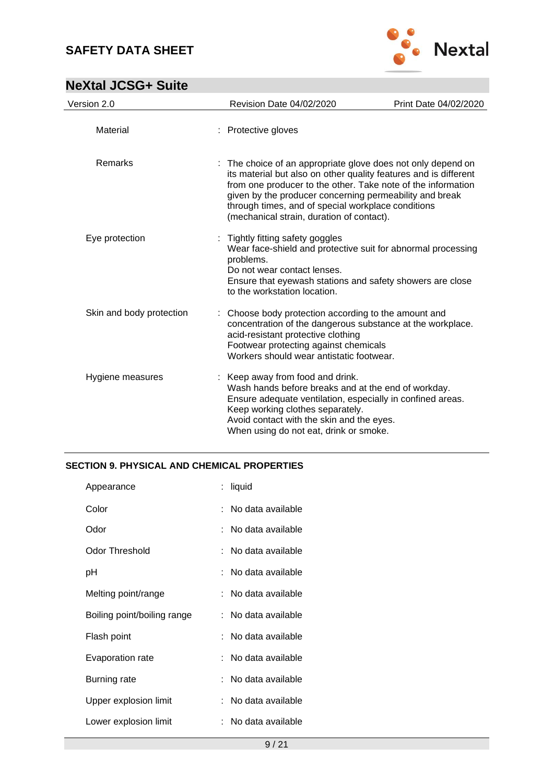

| <b>NeXtal JCSG+ Suite</b> |  |
|---------------------------|--|
|---------------------------|--|

| Version 2.0              | Revision Date 04/02/2020                                                                                                                                                                                                                                                                                                                                       | Print Date 04/02/2020 |
|--------------------------|----------------------------------------------------------------------------------------------------------------------------------------------------------------------------------------------------------------------------------------------------------------------------------------------------------------------------------------------------------------|-----------------------|
| Material                 | : Protective gloves                                                                                                                                                                                                                                                                                                                                            |                       |
| Remarks                  | : The choice of an appropriate glove does not only depend on<br>its material but also on other quality features and is different<br>from one producer to the other. Take note of the information<br>given by the producer concerning permeability and break<br>through times, and of special workplace conditions<br>(mechanical strain, duration of contact). |                       |
| Eye protection           | : Tightly fitting safety goggles<br>Wear face-shield and protective suit for abnormal processing<br>problems.<br>Do not wear contact lenses.<br>Ensure that eyewash stations and safety showers are close<br>to the workstation location.                                                                                                                      |                       |
| Skin and body protection | Choose body protection according to the amount and<br>concentration of the dangerous substance at the workplace.<br>acid-resistant protective clothing<br>Footwear protecting against chemicals<br>Workers should wear antistatic footwear.                                                                                                                    |                       |
| Hygiene measures         | : Keep away from food and drink.<br>Wash hands before breaks and at the end of workday.<br>Ensure adequate ventilation, especially in confined areas.<br>Keep working clothes separately.<br>Avoid contact with the skin and the eyes.<br>When using do not eat, drink or smoke.                                                                               |                       |

#### **SECTION 9. PHYSICAL AND CHEMICAL PROPERTIES**

| Appearance                  | : liquid            |
|-----------------------------|---------------------|
| Color                       | : No data available |
| Odor                        | : No data available |
| Odor Threshold              | : No data available |
| рH                          | : No data available |
| Melting point/range         | : No data available |
| Boiling point/boiling range | : No data available |
| Flash point                 | : No data available |
| Evaporation rate            | : No data available |
| Burning rate                | : No data available |
| Upper explosion limit       | : No data available |
| Lower explosion limit       | : No data available |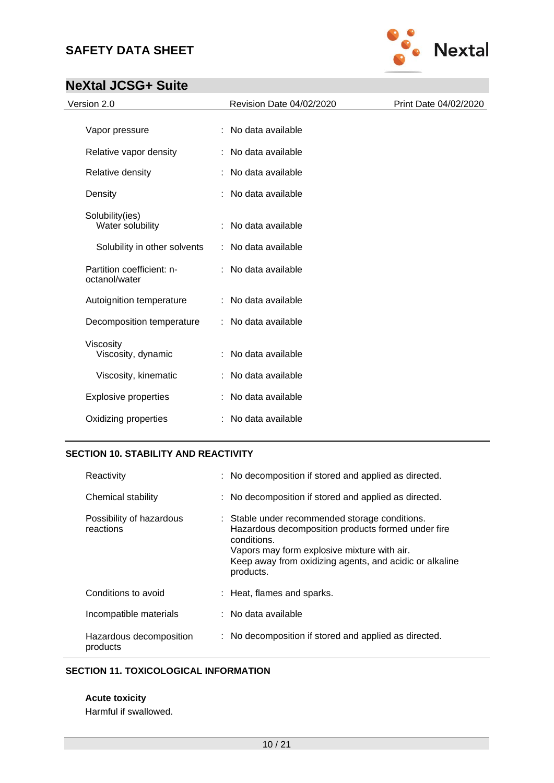

## **NeXtal JCSG+ Suite**

| Version 2.0                                | Revision Date 04/02/2020 | Print Date 04/02/2020 |
|--------------------------------------------|--------------------------|-----------------------|
| Vapor pressure                             | : No data available      |                       |
| Relative vapor density                     | : No data available      |                       |
| Relative density                           | : No data available      |                       |
| Density                                    | No data available        |                       |
| Solubility(ies)<br>Water solubility        | : No data available      |                       |
| Solubility in other solvents               | : No data available      |                       |
| Partition coefficient: n-<br>octanol/water | : No data available      |                       |
| Autoignition temperature                   | : No data available      |                       |
| Decomposition temperature                  | : No data available      |                       |
| Viscosity<br>Viscosity, dynamic            | : No data available      |                       |
| Viscosity, kinematic                       | : No data available      |                       |
| <b>Explosive properties</b>                | : No data available      |                       |
| Oxidizing properties                       | : No data available      |                       |

### **SECTION 10. STABILITY AND REACTIVITY**

| Reactivity                            | : No decomposition if stored and applied as directed.                                                                                                                                                                                      |
|---------------------------------------|--------------------------------------------------------------------------------------------------------------------------------------------------------------------------------------------------------------------------------------------|
| Chemical stability                    | : No decomposition if stored and applied as directed.                                                                                                                                                                                      |
| Possibility of hazardous<br>reactions | : Stable under recommended storage conditions.<br>Hazardous decomposition products formed under fire<br>conditions.<br>Vapors may form explosive mixture with air.<br>Keep away from oxidizing agents, and acidic or alkaline<br>products. |
| Conditions to avoid                   | : Heat, flames and sparks.                                                                                                                                                                                                                 |
| Incompatible materials                | $:$ No data available                                                                                                                                                                                                                      |
| Hazardous decomposition<br>products   | : No decomposition if stored and applied as directed.                                                                                                                                                                                      |

#### **SECTION 11. TOXICOLOGICAL INFORMATION**

**Acute toxicity**

Harmful if swallowed.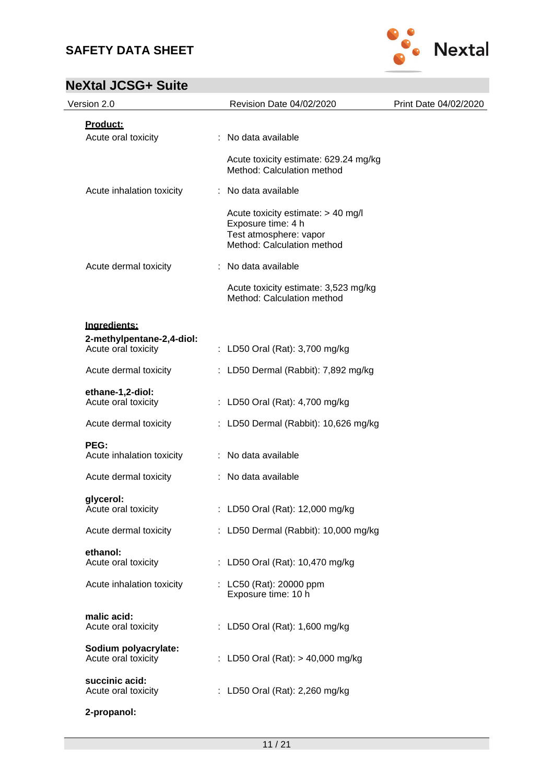

| Version 2.0                                      | Revision Date 04/02/2020                                                                                         | Print Date 04/02/2020 |
|--------------------------------------------------|------------------------------------------------------------------------------------------------------------------|-----------------------|
| Product:<br>Acute oral toxicity                  | : No data available                                                                                              |                       |
|                                                  | Acute toxicity estimate: 629.24 mg/kg<br>Method: Calculation method                                              |                       |
| Acute inhalation toxicity                        | : No data available                                                                                              |                       |
|                                                  | Acute toxicity estimate: > 40 mg/l<br>Exposure time: 4 h<br>Test atmosphere: vapor<br>Method: Calculation method |                       |
| Acute dermal toxicity                            | : No data available                                                                                              |                       |
|                                                  | Acute toxicity estimate: 3,523 mg/kg<br>Method: Calculation method                                               |                       |
| Ingredients:                                     |                                                                                                                  |                       |
| 2-methylpentane-2,4-diol:<br>Acute oral toxicity | : LD50 Oral (Rat): 3,700 mg/kg                                                                                   |                       |
| Acute dermal toxicity                            | : LD50 Dermal (Rabbit): 7,892 mg/kg                                                                              |                       |
| ethane-1,2-diol:<br>Acute oral toxicity          | : LD50 Oral (Rat): 4,700 mg/kg                                                                                   |                       |
| Acute dermal toxicity                            | : LD50 Dermal (Rabbit): 10,626 mg/kg                                                                             |                       |
| PEG:<br>Acute inhalation toxicity                | : No data available                                                                                              |                       |
| Acute dermal toxicity                            | : No data available                                                                                              |                       |
| glycerol:<br>Acute oral toxicity                 | : LD50 Oral (Rat): 12,000 mg/kg                                                                                  |                       |
| Acute dermal toxicity                            | : LD50 Dermal (Rabbit): 10,000 mg/kg                                                                             |                       |
| ethanol:<br>Acute oral toxicity                  | : LD50 Oral (Rat): 10,470 mg/kg                                                                                  |                       |
| Acute inhalation toxicity                        | : LC50 (Rat): 20000 ppm<br>Exposure time: 10 h                                                                   |                       |
| malic acid:<br>Acute oral toxicity               | : LD50 Oral (Rat): 1,600 mg/kg                                                                                   |                       |
| Sodium polyacrylate:<br>Acute oral toxicity      | : LD50 Oral (Rat): > 40,000 mg/kg                                                                                |                       |
| succinic acid:<br>Acute oral toxicity            | : LD50 Oral (Rat): 2,260 mg/kg                                                                                   |                       |
| 2-propanol:                                      |                                                                                                                  |                       |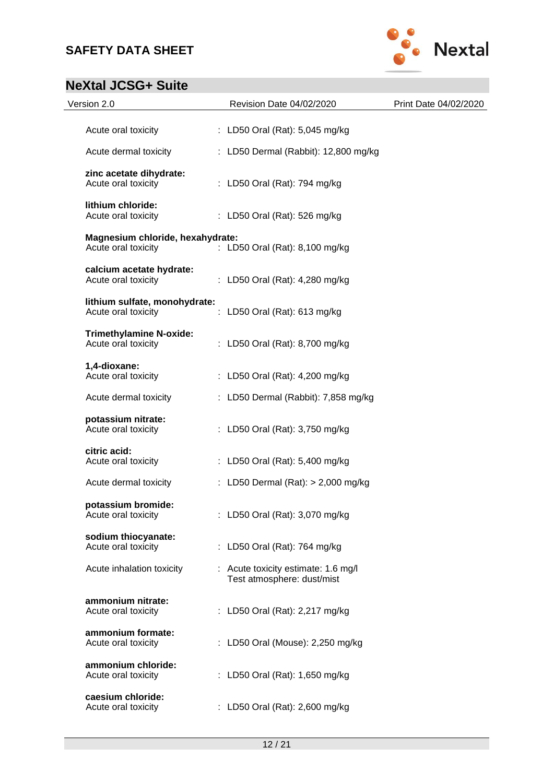

| Version 2.0                                             | Revision Date 04/02/2020                                          | Print Date 04/02/2020 |
|---------------------------------------------------------|-------------------------------------------------------------------|-----------------------|
| Acute oral toxicity                                     | : LD50 Oral (Rat): 5,045 mg/kg                                    |                       |
| Acute dermal toxicity                                   | : LD50 Dermal (Rabbit): 12,800 mg/kg                              |                       |
| zinc acetate dihydrate:<br>Acute oral toxicity          | : LD50 Oral (Rat): 794 mg/kg                                      |                       |
| lithium chloride:<br>Acute oral toxicity                | : LD50 Oral (Rat): 526 mg/kg                                      |                       |
| Magnesium chloride, hexahydrate:<br>Acute oral toxicity | : LD50 Oral (Rat): 8,100 mg/kg                                    |                       |
| calcium acetate hydrate:<br>Acute oral toxicity         | : LD50 Oral (Rat): 4,280 mg/kg                                    |                       |
| lithium sulfate, monohydrate:<br>Acute oral toxicity    | : LD50 Oral (Rat): 613 mg/kg                                      |                       |
| <b>Trimethylamine N-oxide:</b><br>Acute oral toxicity   | : LD50 Oral (Rat): 8,700 mg/kg                                    |                       |
| 1,4-dioxane:<br>Acute oral toxicity                     | : LD50 Oral (Rat): 4,200 mg/kg                                    |                       |
| Acute dermal toxicity                                   | : LD50 Dermal (Rabbit): 7,858 mg/kg                               |                       |
| potassium nitrate:<br>Acute oral toxicity               | : LD50 Oral (Rat): 3,750 mg/kg                                    |                       |
| citric acid:<br>Acute oral toxicity                     | : LD50 Oral (Rat): 5,400 mg/kg                                    |                       |
| Acute dermal toxicity                                   | : LD50 Dermal (Rat): > 2,000 mg/kg                                |                       |
| potassium bromide:<br>Acute oral toxicity               | : LD50 Oral (Rat): 3,070 mg/kg                                    |                       |
| sodium thiocyanate:<br>Acute oral toxicity              | : LD50 Oral (Rat): 764 mg/kg                                      |                       |
| Acute inhalation toxicity                               | : Acute toxicity estimate: 1.6 mg/l<br>Test atmosphere: dust/mist |                       |
| ammonium nitrate:<br>Acute oral toxicity                | : LD50 Oral (Rat): 2,217 mg/kg                                    |                       |
| ammonium formate:<br>Acute oral toxicity                | : LD50 Oral (Mouse): 2,250 mg/kg                                  |                       |
| ammonium chloride:<br>Acute oral toxicity               | : LD50 Oral (Rat): 1,650 mg/kg                                    |                       |
| caesium chloride:<br>Acute oral toxicity                | : LD50 Oral (Rat): 2,600 mg/kg                                    |                       |
|                                                         |                                                                   |                       |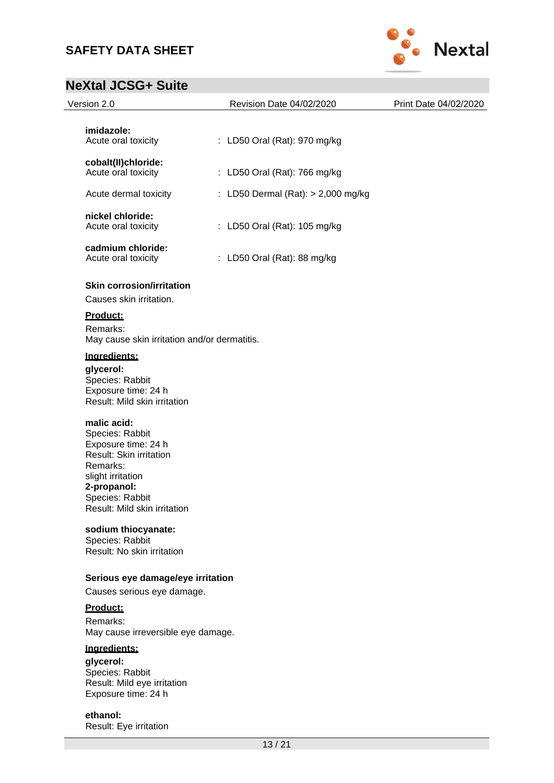

# **NeXtal JCSG+ Suite**

| <b>NEXTAL JUDUT DUITE</b>                                                                                                                                                           |                                    |                       |
|-------------------------------------------------------------------------------------------------------------------------------------------------------------------------------------|------------------------------------|-----------------------|
| Version 2.0                                                                                                                                                                         | Revision Date 04/02/2020           | Print Date 04/02/2020 |
| imidazole:<br>Acute oral toxicity                                                                                                                                                   | : LD50 Oral (Rat): 970 mg/kg       |                       |
| cobalt(II)chloride:<br>Acute oral toxicity                                                                                                                                          | : LD50 Oral (Rat): 766 mg/kg       |                       |
| Acute dermal toxicity                                                                                                                                                               | : LD50 Dermal (Rat): > 2,000 mg/kg |                       |
| nickel chloride:<br>Acute oral toxicity                                                                                                                                             | : LD50 Oral (Rat): 105 mg/kg       |                       |
| cadmium chloride:<br>Acute oral toxicity                                                                                                                                            | : LD50 Oral (Rat): 88 mg/kg        |                       |
| <b>Skin corrosion/irritation</b><br>Causes skin irritation.                                                                                                                         |                                    |                       |
| Product:<br>Remarks:<br>May cause skin irritation and/or dermatitis.                                                                                                                |                                    |                       |
| Ingredients:<br>glycerol:<br>Species: Rabbit<br>Exposure time: 24 h<br>Result: Mild skin irritation                                                                                 |                                    |                       |
| malic acid:<br>Species: Rabbit<br>Exposure time: 24 h<br>Result: Skin irritation<br>Remarks:<br>slight irritation<br>2-propanol:<br>Species: Rabbit<br>Result: Mild skin irritation |                                    |                       |
| sodium thiocyanate:<br>Species: Rabbit<br>Result: No skin irritation                                                                                                                |                                    |                       |
| Serious eye damage/eye irritation<br>Causes serious eye damage.                                                                                                                     |                                    |                       |
| Product:<br>Remarks:<br>May cause irreversible eye damage.                                                                                                                          |                                    |                       |
| Ingredients:<br>glycerol:<br>Species: Rabbit<br>Result: Mild eye irritation<br>Exposure time: 24 h                                                                                  |                                    |                       |

**ethanol:** Result: Eye irritation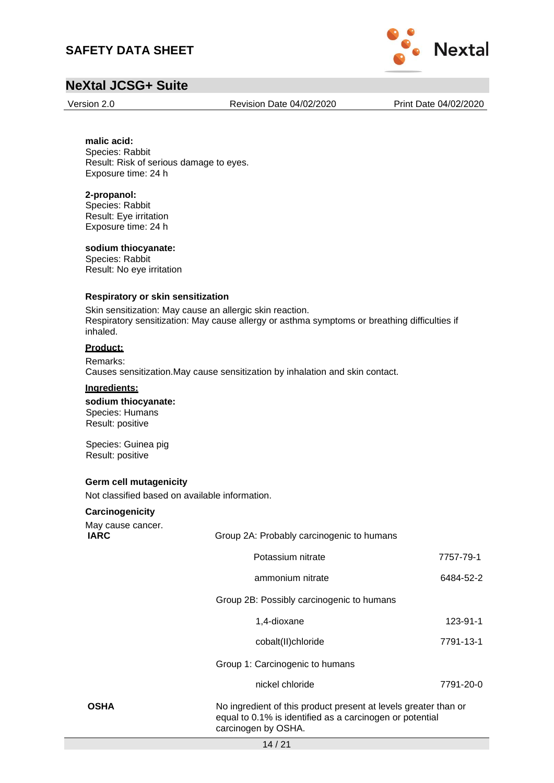

### **NeXtal JCSG+ Suite**

Version 2.0 Revision Date 04/02/2020 Print Date 04/02/2020

#### **malic acid:** Species: Rabbit

Result: Risk of serious damage to eyes. Exposure time: 24 h

#### **2-propanol:**

Species: Rabbit Result: Eye irritation Exposure time: 24 h

#### **sodium thiocyanate:**

Species: Rabbit Result: No eye irritation

#### **Respiratory or skin sensitization**

Skin sensitization: May cause an allergic skin reaction. Respiratory sensitization: May cause allergy or asthma symptoms or breathing difficulties if inhaled.

#### **Product:**

Remarks: Causes sensitization.May cause sensitization by inhalation and skin contact.

#### **Ingredients:**

**sodium thiocyanate:** Species: Humans Result: positive

Species: Guinea pig Result: positive

#### **Germ cell mutagenicity**

Not classified based on available information.

#### **Carcinogenicity**

| May cause cancer.<br><b>IARC</b> | Group 2A: Probably carcinogenic to humans                                                                                                          |           |  |  |  |
|----------------------------------|----------------------------------------------------------------------------------------------------------------------------------------------------|-----------|--|--|--|
|                                  | Potassium nitrate                                                                                                                                  | 7757-79-1 |  |  |  |
|                                  | ammonium nitrate                                                                                                                                   | 6484-52-2 |  |  |  |
|                                  | Group 2B: Possibly carcinogenic to humans                                                                                                          |           |  |  |  |
|                                  | 1,4-dioxane                                                                                                                                        | 123-91-1  |  |  |  |
|                                  | cobalt(II)chloride                                                                                                                                 | 7791-13-1 |  |  |  |
|                                  | Group 1: Carcinogenic to humans                                                                                                                    |           |  |  |  |
|                                  | nickel chloride                                                                                                                                    | 7791-20-0 |  |  |  |
| <b>OSHA</b>                      | No ingredient of this product present at levels greater than or<br>equal to 0.1% is identified as a carcinogen or potential<br>carcinogen by OSHA. |           |  |  |  |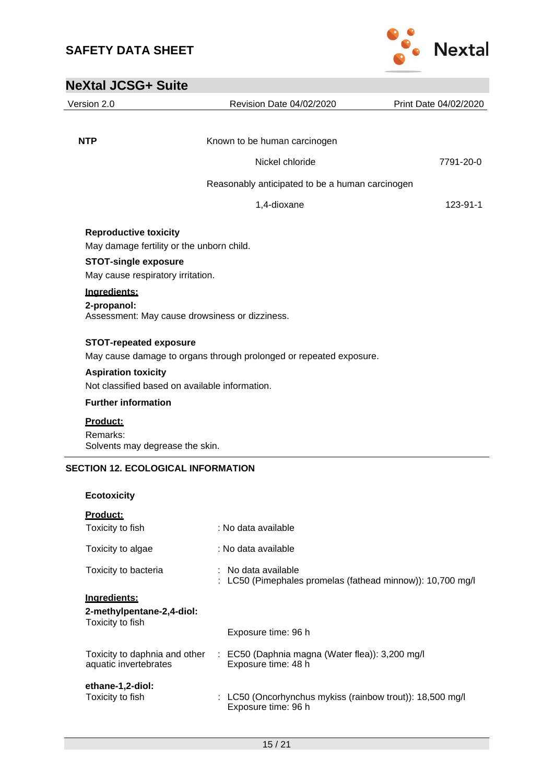

| <b>NeXtal JCSG+ Suite</b>                                        |                                                                    |                       |
|------------------------------------------------------------------|--------------------------------------------------------------------|-----------------------|
| Version 2.0                                                      | Revision Date 04/02/2020                                           | Print Date 04/02/2020 |
|                                                                  |                                                                    |                       |
| <b>NTP</b>                                                       | Known to be human carcinogen                                       |                       |
|                                                                  | Nickel chloride                                                    | 7791-20-0             |
|                                                                  | Reasonably anticipated to be a human carcinogen                    |                       |
|                                                                  | 1,4-dioxane                                                        | 123-91-1              |
| <b>Reproductive toxicity</b>                                     | May damage fertility or the unborn child.                          |                       |
| <b>STOT-single exposure</b><br>May cause respiratory irritation. |                                                                    |                       |
| Ingredients:<br>2-propanol:                                      | Assessment: May cause drowsiness or dizziness.                     |                       |
| <b>STOT-repeated exposure</b>                                    | May cause damage to organs through prolonged or repeated exposure. |                       |
| <b>Aspiration toxicity</b>                                       | Not classified based on available information.                     |                       |
| <b>Further information</b>                                       |                                                                    |                       |
| Product:<br>Remarks:<br>Solvents may degrease the skin.          |                                                                    |                       |
| <b>SECTION 12. ECOLOGICAL INFORMATION</b>                        |                                                                    |                       |
| <b>Ecotoxicity</b>                                               |                                                                    |                       |
| Dead-bat-                                                        |                                                                    |                       |

| <u>Product:</u>                                        |                                                                                    |
|--------------------------------------------------------|------------------------------------------------------------------------------------|
| Toxicity to fish                                       | : No data available                                                                |
| Toxicity to algae                                      | : No data available                                                                |
| Toxicity to bacteria                                   | ∶ No data available.<br>: LC50 (Pimephales promelas (fathead minnow)): 10,700 mg/l |
| Ingredients:                                           |                                                                                    |
| 2-methylpentane-2,4-diol:                              |                                                                                    |
| Toxicity to fish                                       |                                                                                    |
|                                                        | Exposure time: 96 h                                                                |
| Toxicity to daphnia and other<br>aquatic invertebrates | $\therefore$ EC50 (Daphnia magna (Water flea)): 3,200 mg/l<br>Exposure time: 48 h  |
| ethane-1,2-diol:                                       |                                                                                    |
| Toxicity to fish                                       | : LC50 (Oncorhynchus mykiss (rainbow trout)): 18,500 mg/l<br>Exposure time: 96 h   |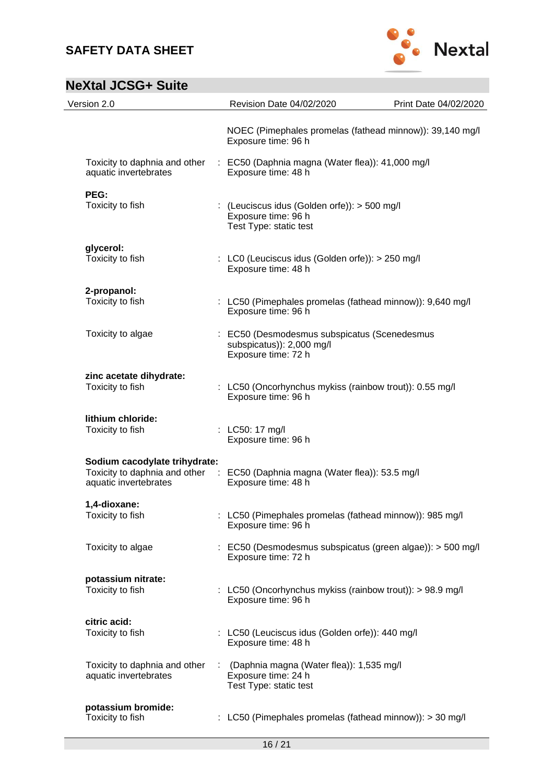

| Version 2.0                                                                             | Revision Date 04/02/2020                                                                         | Print Date 04/02/2020                                       |
|-----------------------------------------------------------------------------------------|--------------------------------------------------------------------------------------------------|-------------------------------------------------------------|
|                                                                                         | Exposure time: 96 h                                                                              | NOEC (Pimephales promelas (fathead minnow)): 39,140 mg/l    |
| Toxicity to daphnia and other<br>aquatic invertebrates                                  | : EC50 (Daphnia magna (Water flea)): 41,000 mg/l<br>Exposure time: 48 h                          |                                                             |
| PEG:<br>Toxicity to fish                                                                | : (Leuciscus idus (Golden orfe)): > 500 mg/l<br>Exposure time: 96 h<br>Test Type: static test    |                                                             |
| glycerol:<br>Toxicity to fish                                                           | : LC0 (Leuciscus idus (Golden orfe)): > 250 mg/l<br>Exposure time: 48 h                          |                                                             |
| 2-propanol:<br>Toxicity to fish                                                         | Exposure time: 96 h                                                                              | : LC50 (Pimephales promelas (fathead minnow)): 9,640 mg/l   |
| Toxicity to algae                                                                       | : EC50 (Desmodesmus subspicatus (Scenedesmus<br>subspicatus)): 2,000 mg/l<br>Exposure time: 72 h |                                                             |
| zinc acetate dihydrate:<br>Toxicity to fish                                             | Exposure time: 96 h                                                                              | : LC50 (Oncorhynchus mykiss (rainbow trout)): 0.55 mg/l     |
| lithium chloride:<br>Toxicity to fish                                                   | : LC50: 17 mg/l<br>Exposure time: 96 h                                                           |                                                             |
| Sodium cacodylate trihydrate:<br>Toxicity to daphnia and other<br>aquatic invertebrates | : EC50 (Daphnia magna (Water flea)): 53.5 mg/l<br>Exposure time: 48 h                            |                                                             |
| 1.4-dioxane:<br>Toxicity to fish                                                        | Exposure time: 96 h                                                                              | : LC50 (Pimephales promelas (fathead minnow)): 985 mg/l     |
| Toxicity to algae                                                                       | Exposure time: 72 h                                                                              | : EC50 (Desmodesmus subspicatus (green algae)): > 500 mg/l  |
| potassium nitrate:<br>Toxicity to fish                                                  | Exposure time: 96 h                                                                              | : LC50 (Oncorhynchus mykiss (rainbow trout)): $> 98.9$ mg/l |
| citric acid:<br>Toxicity to fish                                                        | : LC50 (Leuciscus idus (Golden orfe)): 440 mg/l<br>Exposure time: 48 h                           |                                                             |
| Toxicity to daphnia and other<br>aquatic invertebrates                                  | (Daphnia magna (Water flea)): 1,535 mg/l<br>Exposure time: 24 h<br>Test Type: static test        |                                                             |
| potassium bromide:<br>Toxicity to fish                                                  |                                                                                                  | LC50 (Pimephales promelas (fathead minnow)): > 30 mg/l      |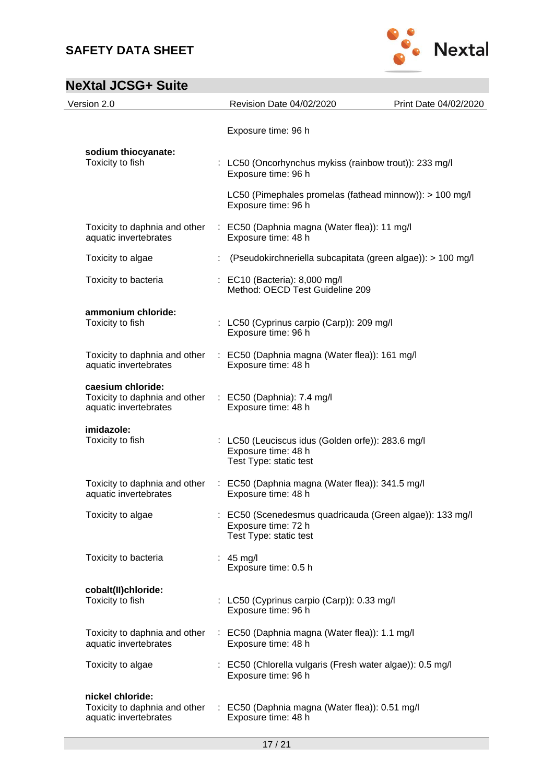

| Version 2.0                                                                                            | Revision Date 04/02/2020                                                                                  | Print Date 04/02/2020 |
|--------------------------------------------------------------------------------------------------------|-----------------------------------------------------------------------------------------------------------|-----------------------|
|                                                                                                        | Exposure time: 96 h                                                                                       |                       |
| sodium thiocyanate:<br>Toxicity to fish                                                                | : LC50 (Oncorhynchus mykiss (rainbow trout)): 233 mg/l<br>Exposure time: 96 h                             |                       |
|                                                                                                        | LC50 (Pimephales promelas (fathead minnow)): > 100 mg/l<br>Exposure time: 96 h                            |                       |
| Toxicity to daphnia and other<br>aquatic invertebrates                                                 | : EC50 (Daphnia magna (Water flea)): 11 mg/l<br>Exposure time: 48 h                                       |                       |
| Toxicity to algae                                                                                      | (Pseudokirchneriella subcapitata (green algae)): > 100 mg/l                                               |                       |
| Toxicity to bacteria                                                                                   | : EC10 (Bacteria): 8,000 mg/l<br>Method: OECD Test Guideline 209                                          |                       |
| ammonium chloride:<br>Toxicity to fish                                                                 | : LC50 (Cyprinus carpio (Carp)): 209 mg/l<br>Exposure time: 96 h                                          |                       |
| Toxicity to daphnia and other<br>aquatic invertebrates                                                 | : EC50 (Daphnia magna (Water flea)): 161 mg/l<br>Exposure time: 48 h                                      |                       |
| caesium chloride:<br>Toxicity to daphnia and other : EC50 (Daphnia): 7.4 mg/l<br>aquatic invertebrates | Exposure time: 48 h                                                                                       |                       |
| imidazole:<br>Toxicity to fish                                                                         | : LC50 (Leuciscus idus (Golden orfe)): 283.6 mg/l<br>Exposure time: 48 h<br>Test Type: static test        |                       |
| aquatic invertebrates                                                                                  | Toxicity to daphnia and other : EC50 (Daphnia magna (Water flea)): 341.5 mg/l<br>Exposure time: 48 h      |                       |
| Toxicity to algae                                                                                      | : EC50 (Scenedesmus quadricauda (Green algae)): 133 mg/l<br>Exposure time: 72 h<br>Test Type: static test |                       |
| Toxicity to bacteria                                                                                   | $: 45$ mg/l<br>Exposure time: 0.5 h                                                                       |                       |
| cobalt(II)chloride:<br>Toxicity to fish                                                                | : LC50 (Cyprinus carpio (Carp)): 0.33 mg/l<br>Exposure time: 96 h                                         |                       |
| Toxicity to daphnia and other<br>aquatic invertebrates                                                 | : EC50 (Daphnia magna (Water flea)): 1.1 mg/l<br>Exposure time: 48 h                                      |                       |
| Toxicity to algae                                                                                      | : EC50 (Chlorella vulgaris (Fresh water algae)): 0.5 mg/l<br>Exposure time: 96 h                          |                       |
| nickel chloride:<br>Toxicity to daphnia and other<br>aquatic invertebrates                             | : EC50 (Daphnia magna (Water flea)): 0.51 mg/l<br>Exposure time: 48 h                                     |                       |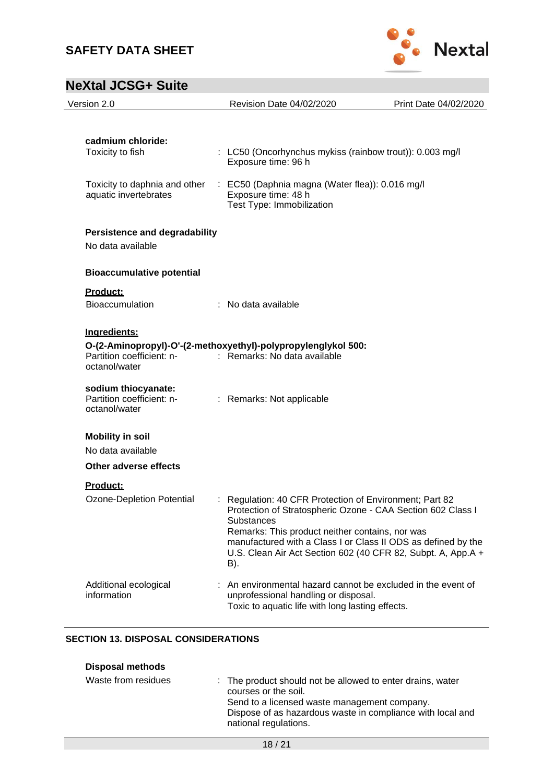

| Version 2.0                                                                        | Revision Date 04/02/2020                                                                                                                                                                                                                                                                                                               | Print Date 04/02/2020 |
|------------------------------------------------------------------------------------|----------------------------------------------------------------------------------------------------------------------------------------------------------------------------------------------------------------------------------------------------------------------------------------------------------------------------------------|-----------------------|
|                                                                                    |                                                                                                                                                                                                                                                                                                                                        |                       |
| cadmium chloride:<br>Toxicity to fish                                              | : LC50 (Oncorhynchus mykiss (rainbow trout)): 0.003 mg/l<br>Exposure time: 96 h                                                                                                                                                                                                                                                        |                       |
| Toxicity to daphnia and other<br>aquatic invertebrates                             | : EC50 (Daphnia magna (Water flea)): 0.016 mg/l<br>Exposure time: 48 h<br>Test Type: Immobilization                                                                                                                                                                                                                                    |                       |
| <b>Persistence and degradability</b><br>No data available                          |                                                                                                                                                                                                                                                                                                                                        |                       |
| <b>Bioaccumulative potential</b>                                                   |                                                                                                                                                                                                                                                                                                                                        |                       |
| Product:<br><b>Bioaccumulation</b>                                                 | : No data available                                                                                                                                                                                                                                                                                                                    |                       |
| Ingredients:<br>Partition coefficient: n-                                          | O-(2-Aminopropyl)-O'-(2-methoxyethyl)-polypropylenglykol 500:<br>: Remarks: No data available                                                                                                                                                                                                                                          |                       |
| octanol/water<br>sodium thiocyanate:<br>Partition coefficient: n-<br>octanol/water | : Remarks: Not applicable                                                                                                                                                                                                                                                                                                              |                       |
| <b>Mobility in soil</b><br>No data available                                       |                                                                                                                                                                                                                                                                                                                                        |                       |
| Other adverse effects                                                              |                                                                                                                                                                                                                                                                                                                                        |                       |
| Product:<br>Ozone-Depletion Potential                                              | : Regulation: 40 CFR Protection of Environment; Part 82<br>Protection of Stratospheric Ozone - CAA Section 602 Class I<br><b>Substances</b><br>Remarks: This product neither contains, nor was<br>manufactured with a Class I or Class II ODS as defined by the<br>U.S. Clean Air Act Section 602 (40 CFR 82, Subpt. A, App.A +<br>B). |                       |
| Additional ecological<br>information                                               | An environmental hazard cannot be excluded in the event of<br>unprofessional handling or disposal.<br>Toxic to aquatic life with long lasting effects.                                                                                                                                                                                 |                       |

### **SECTION 13. DISPOSAL CONSIDERATIONS**

| <b>Disposal methods</b> |  |
|-------------------------|--|
|-------------------------|--|

| Waste from residues | : The product should not be allowed to enter drains, water<br>courses or the soil.<br>Send to a licensed waste management company.<br>Dispose of as hazardous waste in compliance with local and<br>national regulations. |
|---------------------|---------------------------------------------------------------------------------------------------------------------------------------------------------------------------------------------------------------------------|
|---------------------|---------------------------------------------------------------------------------------------------------------------------------------------------------------------------------------------------------------------------|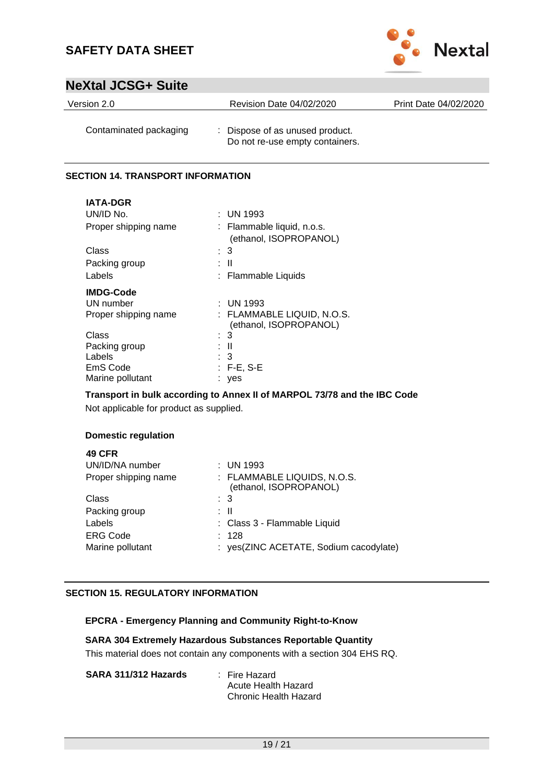

### **NeXtal JCSG+ Suite**

| Version 2.0            | Revision Date 04/02/2020                                           | Print Date 04/02/2020 |
|------------------------|--------------------------------------------------------------------|-----------------------|
| Contaminated packaging | : Dispose of as unused product.<br>Do not re-use empty containers. |                       |

#### **SECTION 14. TRANSPORT INFORMATION**

| <b>IATA-DGR</b>      |                                                      |
|----------------------|------------------------------------------------------|
| UN/ID No.            | $:$ UN 1993                                          |
| Proper shipping name | : Flammable liquid, n.o.s.                           |
|                      | (ethanol, ISOPROPANOL)                               |
| Class                | : 3                                                  |
| Packing group        | Ш                                                    |
| Labels               | : Flammable Liquids                                  |
| <b>IMDG-Code</b>     |                                                      |
| UN number            | : UN 1993                                            |
| Proper shipping name | : FLAMMABLE LIQUID, N.O.S.<br>(ethanol, ISOPROPANOL) |
| Class                | : 3                                                  |
| Packing group        | : II                                                 |
| Labels               | : 3                                                  |
| EmS Code             | $:$ F-E, S-E                                         |
| Marine pollutant     | ves                                                  |

### **Transport in bulk according to Annex II of MARPOL 73/78 and the IBC Code**

Not applicable for product as supplied.

#### **Domestic regulation**

| <b>49 CFR</b>        |                                                       |
|----------------------|-------------------------------------------------------|
| UN/ID/NA number      | $:$ UN 1993                                           |
| Proper shipping name | : FLAMMABLE LIQUIDS, N.O.S.<br>(ethanol, ISOPROPANOL) |
| Class                | $\therefore$ 3                                        |
| Packing group        | : II                                                  |
| Labels               | : Class 3 - Flammable Liquid                          |
| <b>ERG Code</b>      | : 128                                                 |
| Marine pollutant     | : yes(ZINC ACETATE, Sodium cacodylate)                |
|                      |                                                       |

#### **SECTION 15. REGULATORY INFORMATION**

#### **EPCRA - Emergency Planning and Community Right-to-Know**

#### **SARA 304 Extremely Hazardous Substances Reportable Quantity**

This material does not contain any components with a section 304 EHS RQ.

| SARA 311/312 Hazards | : Fire Hazard         |
|----------------------|-----------------------|
|                      | Acute Health Hazard   |
|                      | Chronic Health Hazard |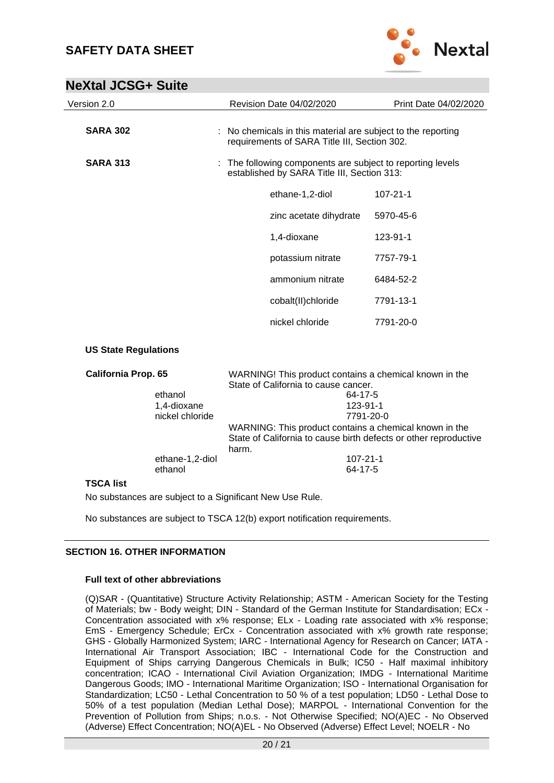

| Version 2.0                 |                                                                                                | Revision Date 04/02/2020                                                                                     | Print Date 04/02/2020 |
|-----------------------------|------------------------------------------------------------------------------------------------|--------------------------------------------------------------------------------------------------------------|-----------------------|
| <b>SARA 302</b>             |                                                                                                | : No chemicals in this material are subject to the reporting<br>requirements of SARA Title III, Section 302. |                       |
| <b>SARA 313</b>             |                                                                                                | : The following components are subject to reporting levels<br>established by SARA Title III, Section 313:    |                       |
|                             |                                                                                                | ethane-1,2-diol                                                                                              | $107 - 21 - 1$        |
|                             |                                                                                                | zinc acetate dihydrate                                                                                       | 5970-45-6             |
|                             |                                                                                                | 1,4-dioxane                                                                                                  | 123-91-1              |
|                             |                                                                                                | potassium nitrate                                                                                            | 7757-79-1             |
|                             |                                                                                                | ammonium nitrate                                                                                             | 6484-52-2             |
|                             |                                                                                                | cobalt(II)chloride                                                                                           | 7791-13-1             |
|                             |                                                                                                | nickel chloride                                                                                              | 7791-20-0             |
| <b>US State Regulations</b> |                                                                                                |                                                                                                              |                       |
| <b>California Prop. 65</b>  | WARNING! This product contains a chemical known in the<br>State of California to cause cancer. |                                                                                                              |                       |
| ethanol<br>1,4-dioxane      |                                                                                                | 64-17-5<br>123-91-1                                                                                          |                       |

| 1.4-dioxane     | 123-91-1                                                         |
|-----------------|------------------------------------------------------------------|
| nickel chloride | 7791-20-0                                                        |
|                 | WARNING: This product contains a chemical known in the           |
|                 | State of California to cause birth defects or other reproductive |
|                 | harm.                                                            |
| ethane-1,2-diol | 107-21-1                                                         |
| ethanol         | 64-17-5                                                          |

#### **TSCA list**

No substances are subject to a Significant New Use Rule.

No substances are subject to TSCA 12(b) export notification requirements.

#### **SECTION 16. OTHER INFORMATION**

#### **Full text of other abbreviations**

(Q)SAR - (Quantitative) Structure Activity Relationship; ASTM - American Society for the Testing of Materials; bw - Body weight; DIN - Standard of the German Institute for Standardisation; ECx - Concentration associated with x% response; ELx - Loading rate associated with x% response; EmS - Emergency Schedule; ErCx - Concentration associated with x% growth rate response; GHS - Globally Harmonized System; IARC - International Agency for Research on Cancer; IATA - International Air Transport Association; IBC - International Code for the Construction and Equipment of Ships carrying Dangerous Chemicals in Bulk; IC50 - Half maximal inhibitory concentration; ICAO - International Civil Aviation Organization; IMDG - International Maritime Dangerous Goods; IMO - International Maritime Organization; ISO - International Organisation for Standardization; LC50 - Lethal Concentration to 50 % of a test population; LD50 - Lethal Dose to 50% of a test population (Median Lethal Dose); MARPOL - International Convention for the Prevention of Pollution from Ships; n.o.s. - Not Otherwise Specified; NO(A)EC - No Observed (Adverse) Effect Concentration; NO(A)EL - No Observed (Adverse) Effect Level; NOELR - No